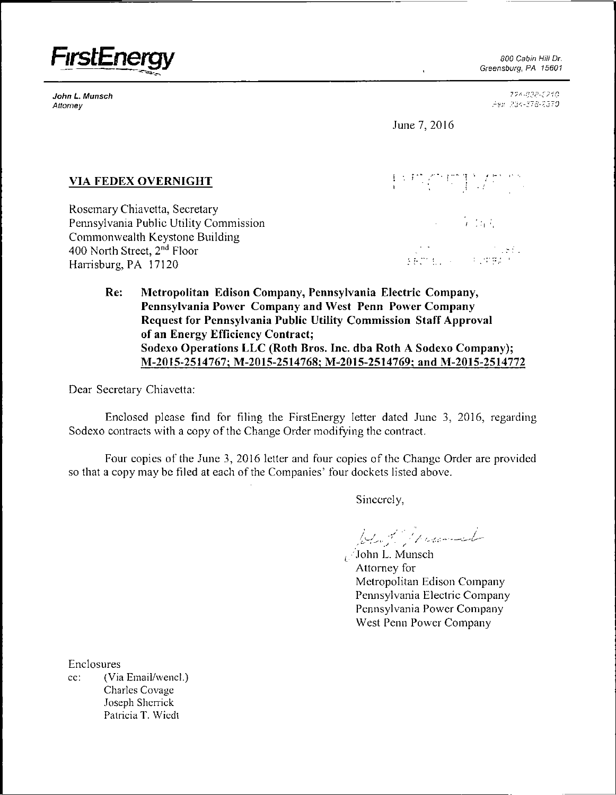

Attorney ?-j/

Greensburg, PA 15601

JohnL. Munsch ?10 :-?-'S-: i~-'0

June 7,2016

# $VIA$  FEDEX OVERNIGHT

Rosemary Chiavetta, Secretary Pennsylvania Public Utility Commission and the commission of the commission of the commission of the commission Commonwealth Keystone Building 400 North Street, 2<sup>nd</sup> Floor Floor " " Harrisburg, PA 17120

*f '"' ] r r* 

 $\mathbf{r}^{\prime}$  :  $\mathbf{r}^{\prime}$  :

**Re: Metropolitan Edison Company, Pennsylvania Electric Company, Pennsylvania Power Company and West Penn Power Company Request for Pennsylvania Public Utility Commission Staff Approval of an Energy Efficiency Contract;**  Sodexo Operations LLC (Roth Bros. Inc. dba Roth A Sodexo Company); **M-2015-2514767; M-2015-2514768; M-2015-2514769; and M-2015-2514772** 

Dear Secretary Chiavetta:

Enclosed please find for filing the FirstEnergy letter dated June 3, 2016, regarding Sodexo contracts with a copy of the Change Order modifying the contract.

Four copies ofthe June 3, 2016 letter and four copies of the Change Order are provided so that a copy may be filed at each of the Companies' four dockets listed above.

Sincerely,

West Monday

( John L. Munsch Attorney for Metropolitan Edison Company Pennsylvania Electric Company Pennsylvania Power Company West Penn Power Company

Enclosures cc: (Via Email/wencl.) Charles Covage Joseph Sherrick Patricia T. Wiedt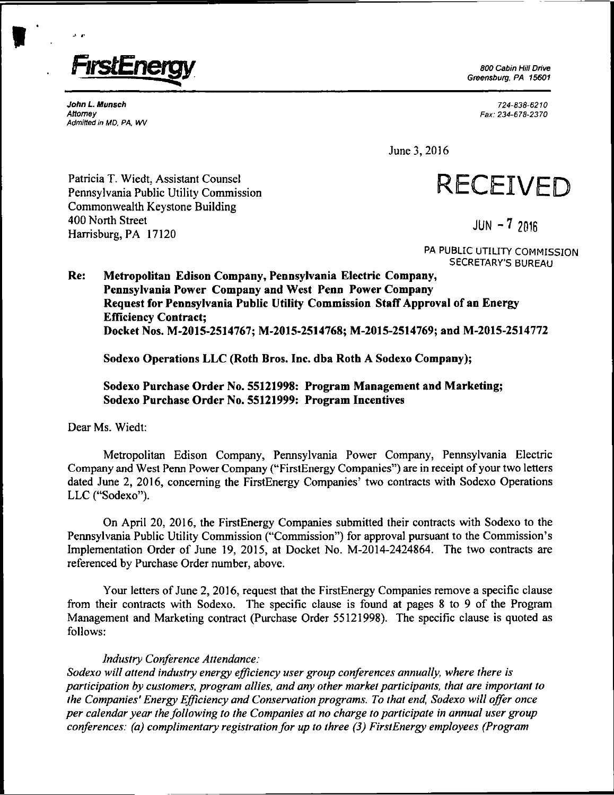

**Greensburg, PA 15601** 

John L Munsch 724-838-6210 Attorney Fax: 234-6 78-2370

June 3, 2016



**PA PUBLIC UTILITY COMMISSION SECRETARY'S BUREAU** 

**Re: Metropolitan Edison Company, Pennsylvania Electric Company, Pennsylvania Power Company and West Penn Power Company Request for Pennsylvania Public Utility Commission Staff Approval of an Energy Efficiency Contract; Docket Nos. M-2015-2514767; M-2015-2514768; M-2015-2514769; and M-2015-2514772** 

Sodexo Operations LLC (Roth Bros. Inc. dba Roth A Sodexo Company);

## **Sodexo Purchase Order No. 55121998: Program Management and Marketing; Sodexo Purchase Order No. 55121999: Program Incentives**

Dear Ms. Wiedt:

Admitted in MD, PA, WV

Metropolitan Edison Company, Pennsylvania Power Company, Pennsylvania Electric Company and West Penn Power Company ("FirstEnergy Companies") are in receipt of your two letters dated June 2, 2016, concerning the FirstEnergy Companies' two contracts with Sodexo Operations LLC ("Sodexo").

On April 20, 2016, the FirstEnergy Companies submitted their contracts with Sodexo to the Pennsylvania Public Utility Commission ("Commission") for approval pursuant to the Commission's Implementation Order of June 19, 2015, at Docket No. M-2014-2424864. The two contracts are referenced by Purchase Order number, above.

Your letters of June 2, 2016, request that the FirstEnergy Companies remove a specific clause from their contracts with Sodexo. The specific clause is found at pages 8 to 9 of the Program Management and Marketing contract (Purchase Order 55121998). The specific clause is quoted as follows:

#### *Industry Conference Attendance:*

*Sodexo will attend industry energy efficiency user group conferences annually, where there is participation by customers, program allies, and any other market participants, that are important to the Companies' Energy Efficiency and Conservation programs. To that end, Sodexo will offer once per calendar year the following to the Companies at no charge to participate in annual user group conferences: (a) complimentary registration for up to three (3) FirstEnergy employees (Program* 

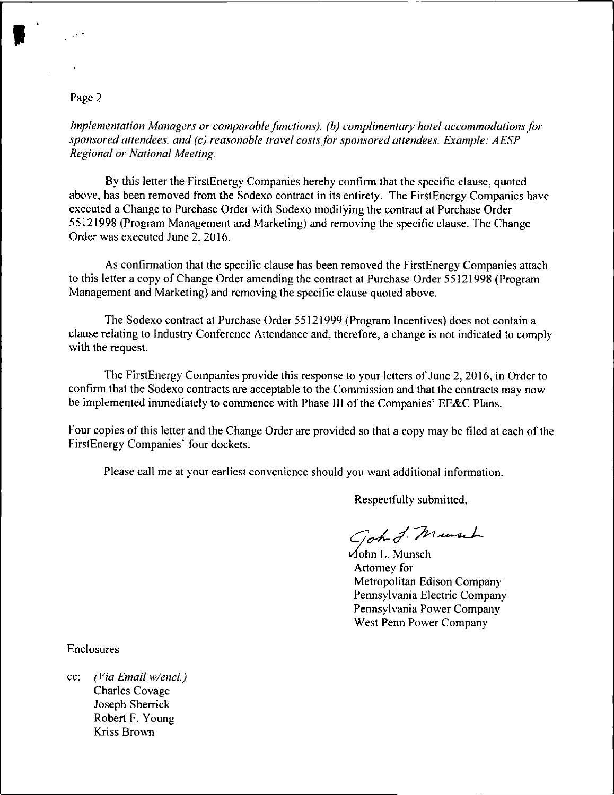### Page 2

*Implementation Managers or comparable functions), (b) complimentary hotel accommodations for sponsored attendees, and (c) reasonable travel costs for sponsored attendees. Example: AESP Regional or National Meeting.* 

By this letter the FirstEnergy Companies hereby confirm that the specific clause, quoted above, has been removed from the Sodexo contract in its entirety. The FirstEnergy Companies have executed a Change to Purchase Order with Sodexo modifying the contract at Purchase Order 55121998 (Program Management and Marketing) and removing the specific clause. The Change Order was executed June 2. 2016.

As confirmation that the specific clause has been removed the FirstEnergy Companies attach to this letter a copy of Change Order amending the contract at Purchase Order 55121998 (Program Management and Marketing) and removing the specific clause quoted above.

The Sodexo contract at Purchase Order 55121999 (Program Incentives) does not contain a clause relating to Industry Conference Attendance and, therefore, a change is not indicated to comply with the request.

The FirstEnergy Companies provide this response to your letters of June 2, 2016, in Order to confirm that the Sodexo contracts are acceptable to the Commission and that the contracts may now be implemented immediately to commence with Phase III of the Companies' EE&C Plans.

Four copies of this letter and the Change Order are provided so that a copy may be filed at each of the FirstEnergy Companies' four dockets.

Please call me at your earliest convenience should you want additional information.

Respectfully submitted,

Gohd Musch

John L. Munsch Attorney for Metropolitan Edison Company Pennsylvania Electric Company Pennsylvania Power Company West Penn Power Company

Enclosures

cc: (Via Email w/encl.) Charles Covage Joseph Sherrick Robert F. Young Kriss Brown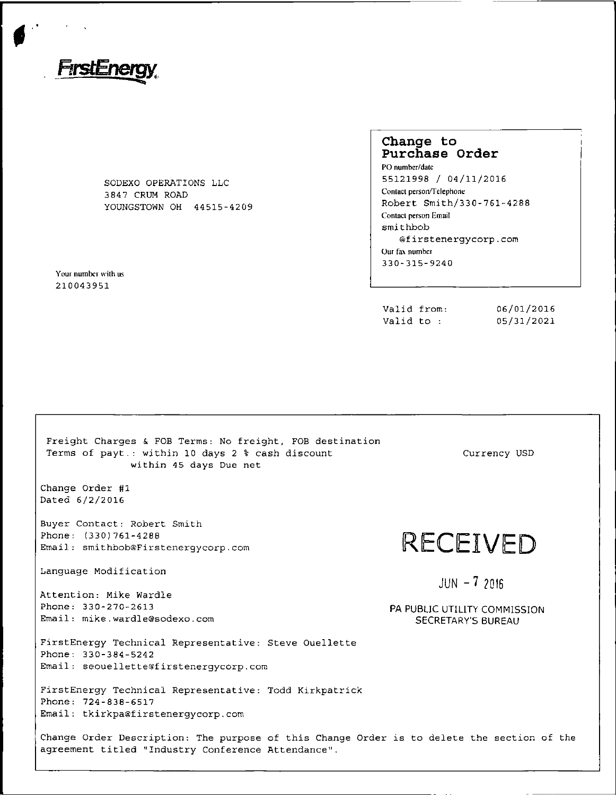

SODEXO OPERATIONS LLC 3 84 7 CRUM ROAD YOUNGSTOWN OH 44515-4209

Your number with us 210043951

# **Change to Purchase Order**

PO number/date 55121998 / 04/11/2016 Contact person/Telephone Robert Smith/330-761-4288 Comaci person Email  $\mathop{\mathtt{s}}\mathop{\mathsf{mi}}\mathop{\mathtt{thbob}}$ @firstenergycorp.com Our fax number 330-315-9240

| Valid from: | 06/01/2016 |
|-------------|------------|
| Valid to :  | 05/31/2021 |

| Freight Charges & FOB Terms: No freight, FOB destination<br>Terms of payt.: within 10 days 2 % cash discount<br>within 45 days Due net           | Currency USD                                              |
|--------------------------------------------------------------------------------------------------------------------------------------------------|-----------------------------------------------------------|
| Change Order #1<br>Dated 6/2/2016                                                                                                                |                                                           |
| Buyer Contact: Robert Smith<br>Phone: (330)761-4288<br>Email: smithbob@Firstenergycorp.com                                                       | RECEIVED                                                  |
| Language Modification                                                                                                                            | $JUN - 72016$                                             |
| Attention: Mike Wardle                                                                                                                           |                                                           |
| Phone: 330-270-2613<br>Email: mike.wardle@sodexo.com                                                                                             | PA PUBLIC UTILITY COMMISSION<br><b>SECRETARY'S BUREAU</b> |
| FirstEnergy Technical Representative: Steve Ouellette<br>Phone: 330-384-5242<br>Email: seouellette@firstenergycorp.com                           |                                                           |
| FirstEnergy Technical Representative: Todd Kirkpatrick<br>Phone: 724-838-6517<br>Email: tkirkpa@firstenergycorp.com                              |                                                           |
| Change Order Description: The purpose of this Change Order is to delete the section of the<br>agreement titled "Industry Conference Attendance". |                                                           |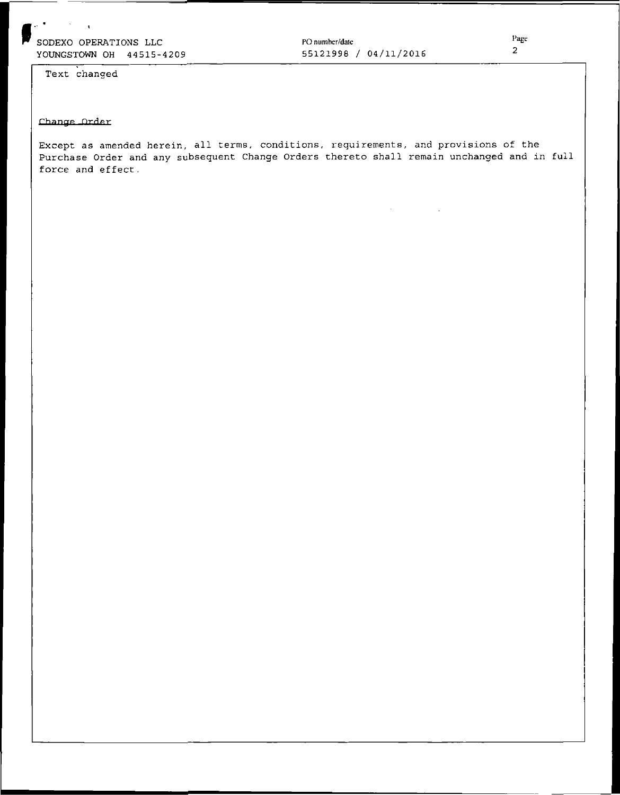PO number/dale 55121998 / 04/11/2016

Text changed

#### Change Order

Except as amended herein, all terms, conditions, requirements, and provisions of the Purchase Order and any subsequent Change Orders thereto shall remain unchanged and in full force and effect.